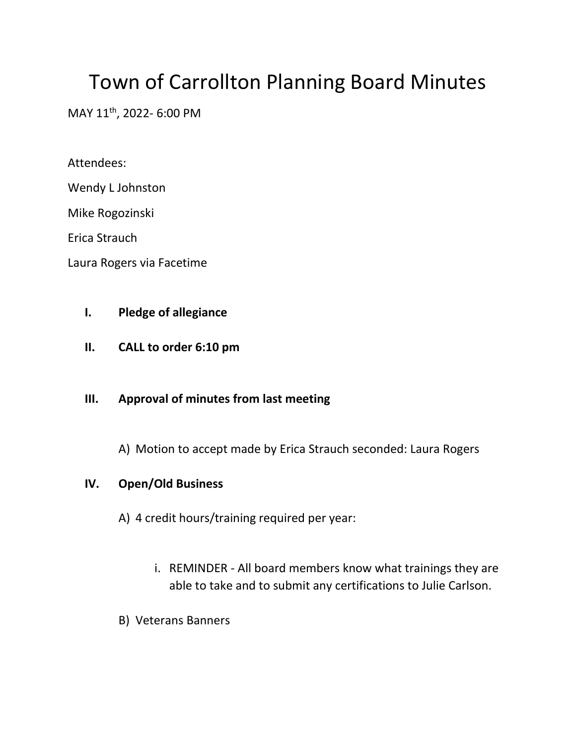# Town of Carrollton Planning Board Minutes

MAY 11<sup>th</sup>, 2022- 6:00 PM

Attendees:

Wendy L Johnston

Mike Rogozinski

Erica Strauch

Laura Rogers via Facetime

## **I. Pledge of allegiance**

**II. CALL to order 6:10 pm**

## **III. Approval of minutes from last meeting**

A) Motion to accept made by Erica Strauch seconded: Laura Rogers

## **IV. Open/Old Business**

- A) 4 credit hours/training required per year:
	- i. REMINDER All board members know what trainings they are able to take and to submit any certifications to Julie Carlson.
- B) Veterans Banners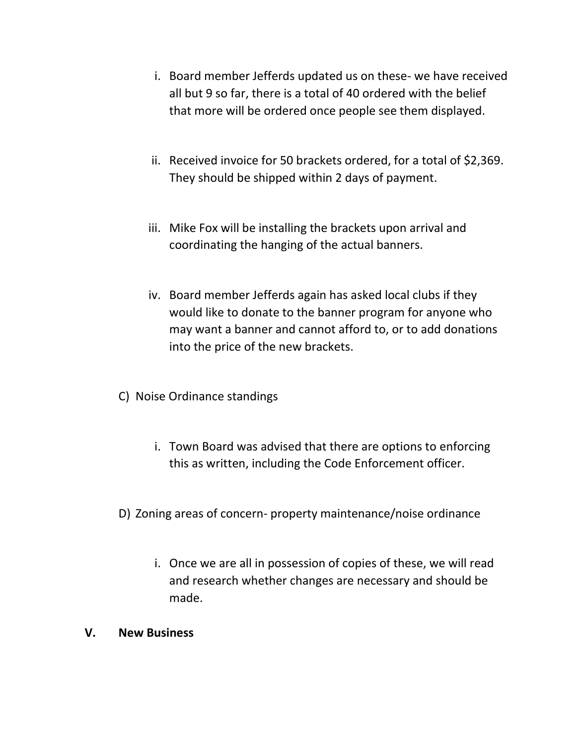- i. Board member Jefferds updated us on these- we have received all but 9 so far, there is a total of 40 ordered with the belief that more will be ordered once people see them displayed.
- ii. Received invoice for 50 brackets ordered, for a total of \$2,369. They should be shipped within 2 days of payment.
- iii. Mike Fox will be installing the brackets upon arrival and coordinating the hanging of the actual banners.
- iv. Board member Jefferds again has asked local clubs if they would like to donate to the banner program for anyone who may want a banner and cannot afford to, or to add donations into the price of the new brackets.
- C) Noise Ordinance standings
	- i. Town Board was advised that there are options to enforcing this as written, including the Code Enforcement officer.
- D) Zoning areas of concern- property maintenance/noise ordinance
	- i. Once we are all in possession of copies of these, we will read and research whether changes are necessary and should be made.
- **V. New Business**